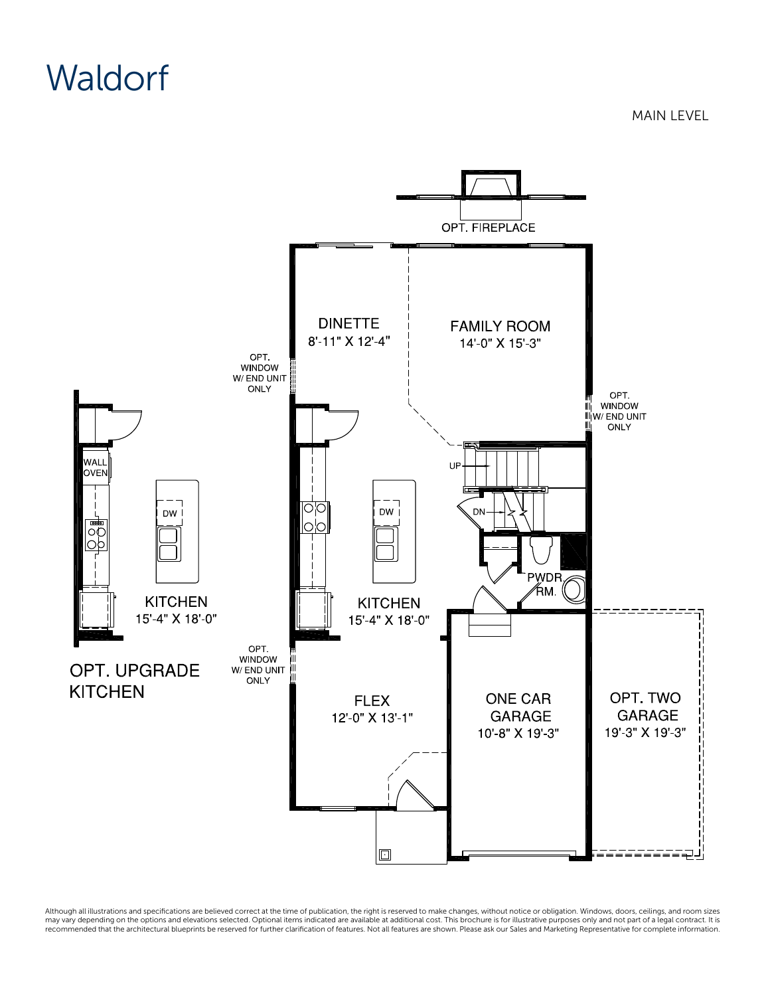## **Waldorf**

OPT. FIREPLACE **DINETTE FAMILY ROOM** 8'-11" X 12'-4" 14'-0" X 15'-3" OPT. WINDOW W/ END UNIT ONLY OPT. WINDOW W/ END UNIT Ш ONLY WALL UE **OVEN** <u>이</u> DW j DW | <del>مأده</del> o'o oć <u>oþ</u> PWDR. ∕ћм. ( **KITCHEN KITCHEN** 15'-4" X 18'-0" 15'-4" X 18'-0" OPT. WINDOW OPT. UPGRADE W/ END UNIT Ш ONLY **KITCHEN** OPT. TWO **FLEX ONE CAR GARAGE GARAGE** 12'-0" X 13'-1" 19'-3" X 19'-3" 10'-8" X 19'-3"

Although all illustrations and specifications are believed correct at the time of publication, the right is reserved to make changes, without notice or obligation. Windows, doors, ceilings, and room sizes<br>may vary dependin

 $\Box$ 

MAIN LEVEL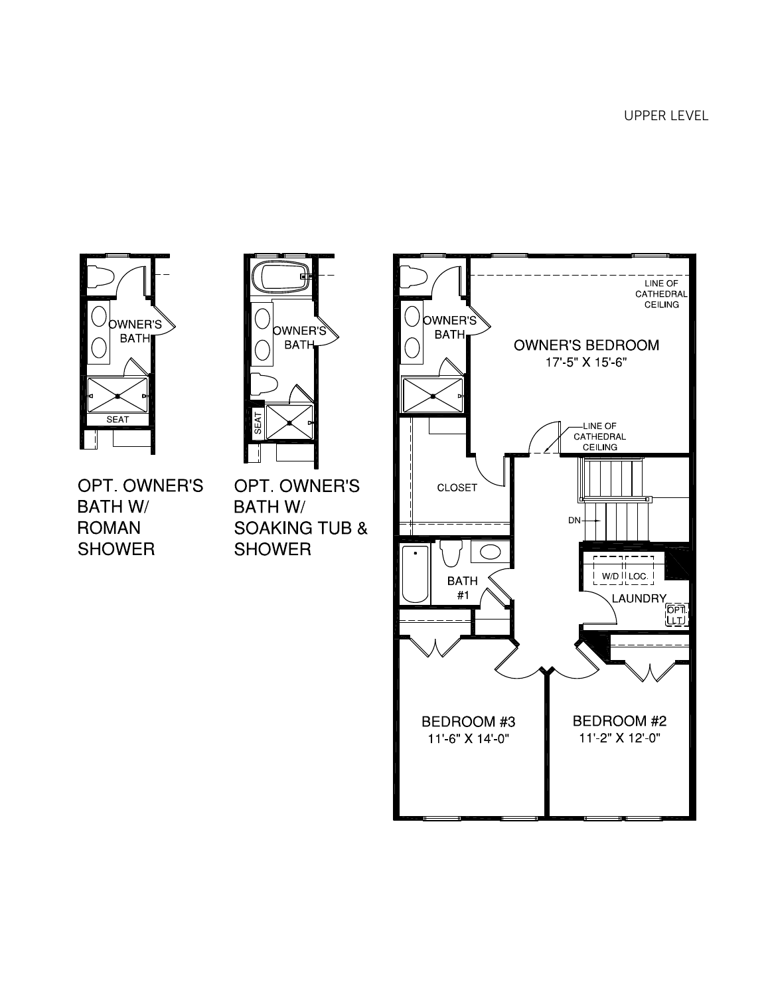

OWNER'Š **BATH SEAT** 

OPT. OWNER'S **BATH W/ ROMAN SHOWER** 

OPT. OWNER'S **BATH W/ SOAKING TUB & SHOWER**